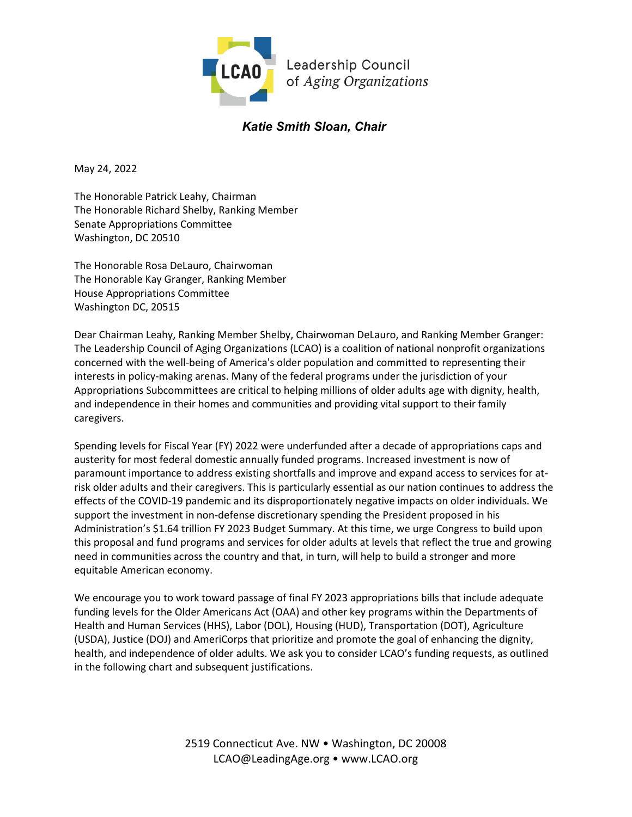

# *Katie Smith Sloan, Chair*

May 24, 2022

The Honorable Patrick Leahy, Chairman The Honorable Richard Shelby, Ranking Member Senate Appropriations Committee Washington, DC 20510

The Honorable Rosa DeLauro, Chairwoman The Honorable Kay Granger, Ranking Member House Appropriations Committee Washington DC, 20515

Dear Chairman Leahy, Ranking Member Shelby, Chairwoman DeLauro, and Ranking Member Granger: The Leadership Council of Aging Organizations (LCAO) is a coalition of national nonprofit organizations concerned with the well-being of America's older population and committed to representing their interests in policy-making arenas. Many of the federal programs under the jurisdiction of your Appropriations Subcommittees are critical to helping millions of older adults age with dignity, health, and independence in their homes and communities and providing vital support to their family caregivers.

Spending levels for Fiscal Year (FY) 2022 were underfunded after a decade of appropriations caps and austerity for most federal domestic annually funded programs. Increased investment is now of paramount importance to address existing shortfalls and improve and expand access to services for atrisk older adults and their caregivers. This is particularly essential as our nation continues to address the effects of the COVID-19 pandemic and its disproportionately negative impacts on older individuals. We support the investment in non-defense discretionary spending the President proposed in his Administration's \$1.64 trillion FY 2023 Budget Summary. At this time, we urge Congress to build upon this proposal and fund programs and services for older adults at levels that reflect the true and growing need in communities across the country and that, in turn, will help to build a stronger and more equitable American economy.

We encourage you to work toward passage of final FY 2023 appropriations bills that include adequate funding levels for the Older Americans Act (OAA) and other key programs within the Departments of Health and Human Services (HHS), Labor (DOL), Housing (HUD), Transportation (DOT), Agriculture (USDA), Justice (DOJ) and AmeriCorps that prioritize and promote the goal of enhancing the dignity, health, and independence of older adults. We ask you to consider LCAO's funding requests, as outlined in the following chart and subsequent justifications.

> 2519 Connecticut Ave. NW • Washington, DC 20008 LCAO@LeadingAge.org • www.LCAO.org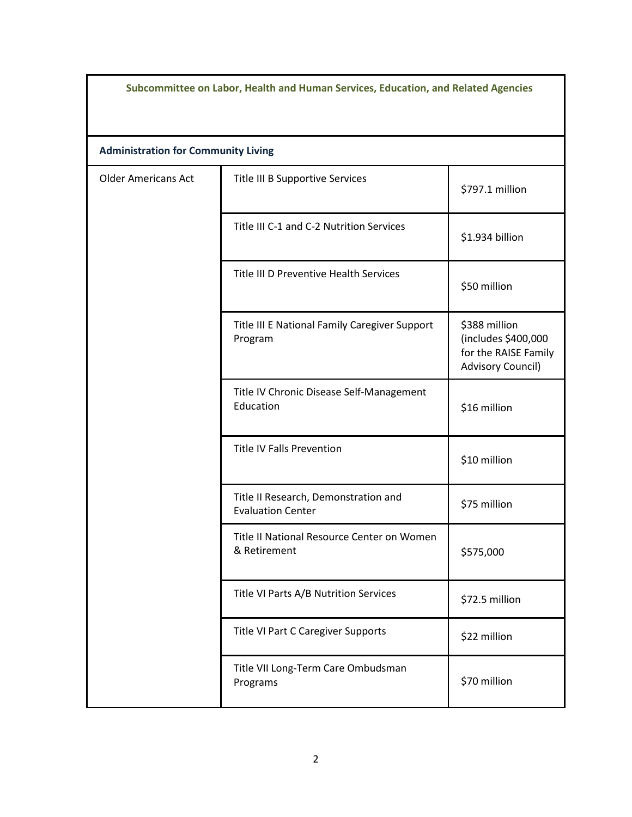| Subcommittee on Labor, Health and Human Services, Education, and Related Agencies |                                                                  |                                                                                          |  |  |
|-----------------------------------------------------------------------------------|------------------------------------------------------------------|------------------------------------------------------------------------------------------|--|--|
| <b>Administration for Community Living</b>                                        |                                                                  |                                                                                          |  |  |
| <b>Older Americans Act</b>                                                        | Title III B Supportive Services                                  | \$797.1 million                                                                          |  |  |
|                                                                                   | Title III C-1 and C-2 Nutrition Services                         | \$1.934 billion                                                                          |  |  |
|                                                                                   | Title III D Preventive Health Services                           | \$50 million                                                                             |  |  |
|                                                                                   | Title III E National Family Caregiver Support<br>Program         | \$388 million<br>(includes \$400,000<br>for the RAISE Family<br><b>Advisory Council)</b> |  |  |
|                                                                                   | Title IV Chronic Disease Self-Management<br>Education            | \$16 million                                                                             |  |  |
|                                                                                   | <b>Title IV Falls Prevention</b>                                 | \$10 million                                                                             |  |  |
|                                                                                   | Title II Research, Demonstration and<br><b>Evaluation Center</b> | \$75 million                                                                             |  |  |
|                                                                                   | Title II National Resource Center on Women<br>& Retirement       | \$575,000                                                                                |  |  |
|                                                                                   | Title VI Parts A/B Nutrition Services                            | \$72.5 million                                                                           |  |  |
|                                                                                   | Title VI Part C Caregiver Supports                               | \$22 million                                                                             |  |  |
|                                                                                   | Title VII Long-Term Care Ombudsman<br>Programs                   | \$70 million                                                                             |  |  |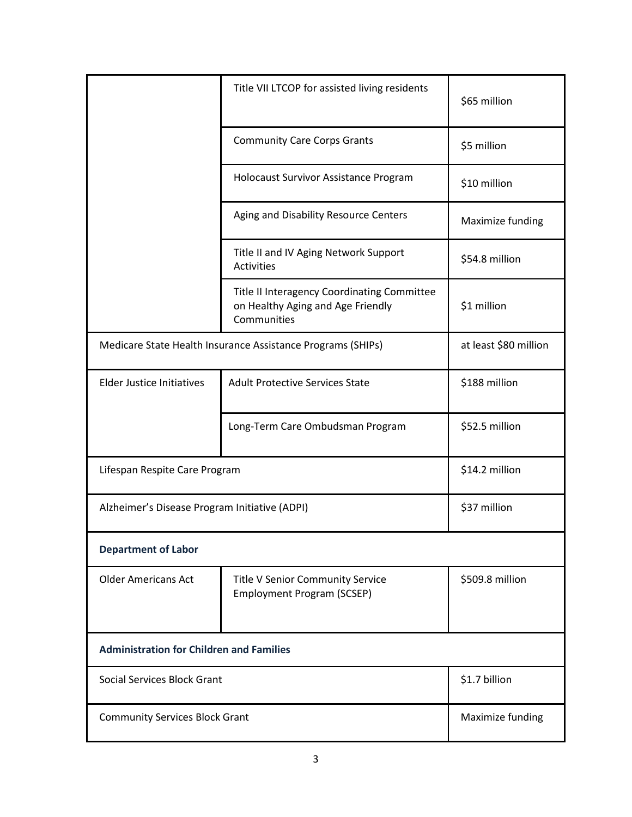|                                                 | Title VII LTCOP for assisted living residents                                                   | \$65 million     |  |  |
|-------------------------------------------------|-------------------------------------------------------------------------------------------------|------------------|--|--|
|                                                 | <b>Community Care Corps Grants</b>                                                              | \$5 million      |  |  |
|                                                 | Holocaust Survivor Assistance Program                                                           | \$10 million     |  |  |
|                                                 | Aging and Disability Resource Centers                                                           | Maximize funding |  |  |
|                                                 | Title II and IV Aging Network Support<br><b>Activities</b>                                      | \$54.8 million   |  |  |
|                                                 | Title II Interagency Coordinating Committee<br>on Healthy Aging and Age Friendly<br>Communities | \$1 million      |  |  |
|                                                 | Medicare State Health Insurance Assistance Programs (SHIPs)                                     |                  |  |  |
| <b>Elder Justice Initiatives</b>                | <b>Adult Protective Services State</b>                                                          | \$188 million    |  |  |
|                                                 | Long-Term Care Ombudsman Program                                                                | \$52.5 million   |  |  |
| Lifespan Respite Care Program                   |                                                                                                 | \$14.2 million   |  |  |
| Alzheimer's Disease Program Initiative (ADPI)   |                                                                                                 | \$37 million     |  |  |
| <b>Department of Labor</b>                      |                                                                                                 |                  |  |  |
| <b>Older Americans Act</b>                      | <b>Title V Senior Community Service</b><br><b>Employment Program (SCSEP)</b>                    | \$509.8 million  |  |  |
| <b>Administration for Children and Families</b> |                                                                                                 |                  |  |  |
| Social Services Block Grant                     |                                                                                                 | \$1.7 billion    |  |  |
| <b>Community Services Block Grant</b>           |                                                                                                 | Maximize funding |  |  |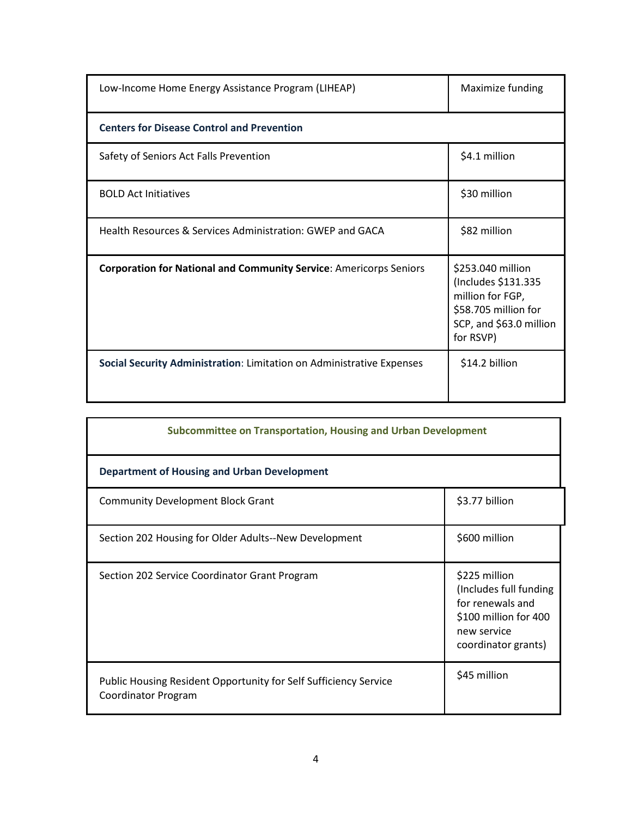| Low-Income Home Energy Assistance Program (LIHEAP)                        | Maximize funding                                                                                                             |  |
|---------------------------------------------------------------------------|------------------------------------------------------------------------------------------------------------------------------|--|
| <b>Centers for Disease Control and Prevention</b>                         |                                                                                                                              |  |
| Safety of Seniors Act Falls Prevention                                    | \$4.1 million                                                                                                                |  |
| <b>BOLD Act Initiatives</b>                                               | \$30 million                                                                                                                 |  |
| Health Resources & Services Administration: GWEP and GACA                 | \$82 million                                                                                                                 |  |
| <b>Corporation for National and Community Service: Americorps Seniors</b> | \$253.040 million<br>(Includes \$131.335<br>million for FGP,<br>\$58.705 million for<br>SCP, and \$63.0 million<br>for RSVP) |  |
| Social Security Administration: Limitation on Administrative Expenses     | \$14.2 billion                                                                                                               |  |

| <b>Subcommittee on Transportation, Housing and Urban Development</b>                    |                                                                                                                            |  |
|-----------------------------------------------------------------------------------------|----------------------------------------------------------------------------------------------------------------------------|--|
| <b>Department of Housing and Urban Development</b>                                      |                                                                                                                            |  |
| <b>Community Development Block Grant</b>                                                | \$3.77 billion                                                                                                             |  |
| Section 202 Housing for Older Adults--New Development                                   | \$600 million                                                                                                              |  |
| Section 202 Service Coordinator Grant Program                                           | \$225 million<br>(Includes full funding<br>for renewals and<br>\$100 million for 400<br>new service<br>coordinator grants) |  |
| Public Housing Resident Opportunity for Self Sufficiency Service<br>Coordinator Program | \$45 million                                                                                                               |  |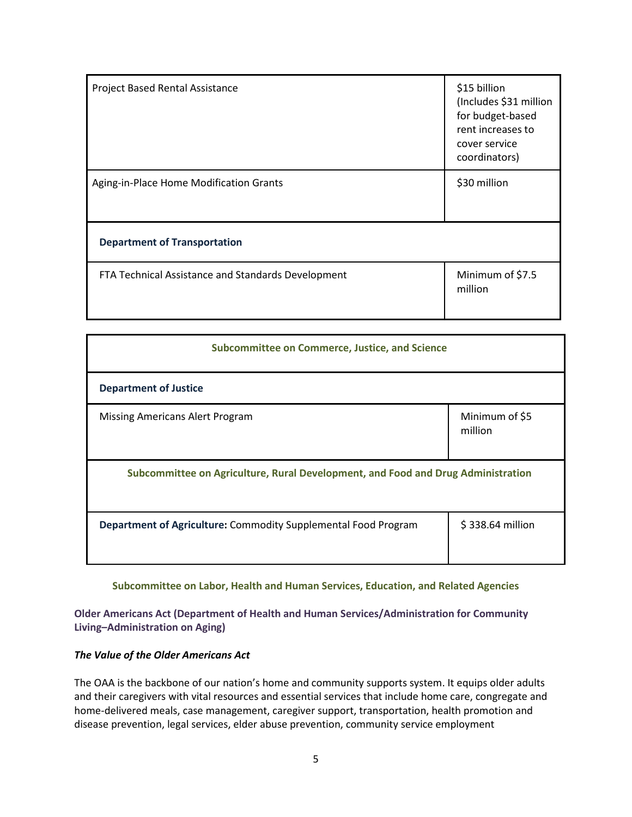| <b>Project Based Rental Assistance</b>             | \$15 billion<br>(Includes \$31 million<br>for budget-based<br>rent increases to<br>cover service<br>coordinators) |
|----------------------------------------------------|-------------------------------------------------------------------------------------------------------------------|
| Aging-in-Place Home Modification Grants            | \$30 million                                                                                                      |
| <b>Department of Transportation</b>                |                                                                                                                   |
| FTA Technical Assistance and Standards Development | Minimum of \$7.5<br>million                                                                                       |

| <b>Subcommittee on Commerce, Justice, and Science</b>                            |                           |  |
|----------------------------------------------------------------------------------|---------------------------|--|
| <b>Department of Justice</b>                                                     |                           |  |
| Missing Americans Alert Program                                                  | Minimum of \$5<br>million |  |
| Subcommittee on Agriculture, Rural Development, and Food and Drug Administration |                           |  |
| Department of Agriculture: Commodity Supplemental Food Program                   | \$338.64 million          |  |

#### **Subcommittee on Labor, Health and Human Services, Education, and Related Agencies**

**Older Americans Act (Department of Health and Human Services/Administration for Community Living–Administration on Aging)**

### *The Value of the Older Americans Act*

The OAA is the backbone of our nation's home and community supports system. It equips older adults and their caregivers with vital resources and essential services that include home care, congregate and home-delivered meals, case management, caregiver support, transportation, health promotion and disease prevention, legal services, elder abuse prevention, community service employment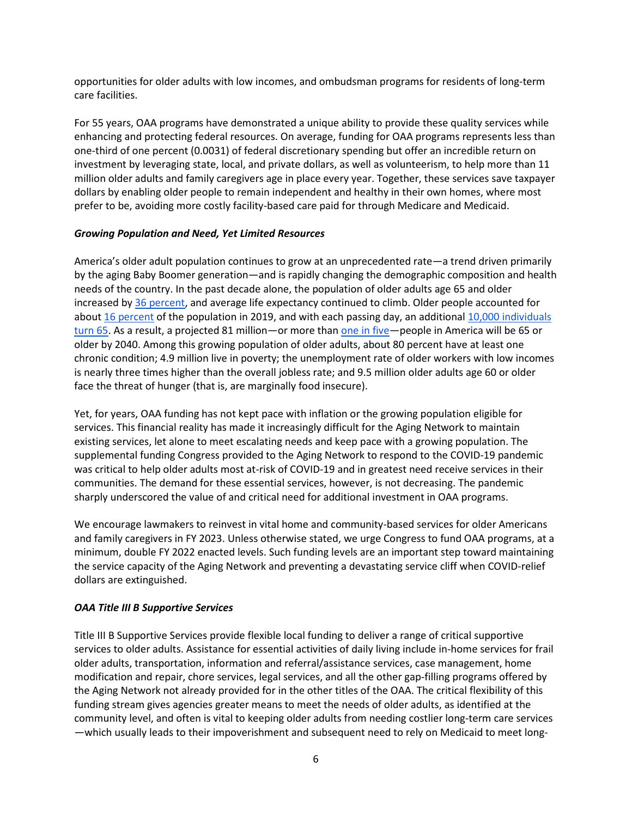opportunities for older adults with low incomes, and ombudsman programs for residents of long-term care facilities.

For 55 years, OAA programs have demonstrated a unique ability to provide these quality services while enhancing and protecting federal resources. On average, funding for OAA programs represents less than one-third of one percent (0.0031) of federal discretionary spending but offer an incredible return on investment by leveraging state, local, and private dollars, as well as volunteerism, to help more than 11 million older adults and family caregivers age in place every year. Together, these services save taxpayer dollars by enabling older people to remain independent and healthy in their own homes, where most prefer to be, avoiding more costly facility-based care paid for through Medicare and Medicaid.

### *Growing Population and Need, Yet Limited Resources*

America's older adult population continues to grow at an unprecedented rate—a trend driven primarily by the aging Baby Boomer generation—and is rapidly changing the demographic composition and health needs of the country. In the past decade alone, the population of older adults age 65 and older increased by [36 percent,](https://acl.gov/sites/default/files/Aging%20and%20Disability%20in%20America/2019ProfileOlderAmericans508.pdf) and average life expectancy continued to climb. Older people accounted for about [16 percent](https://acl.gov/sites/default/files/Aging%20and%20Disability%20in%20America/2019ProfileOlderAmericans508.pdf) of the population in 2019, and with each passing day, an additional [10,000 individuals](https://www.census.gov/library/stories/2019/12/by-2030-all-baby-boomers-will-be-age-65-or-older.html)  [turn 65.](https://www.census.gov/library/stories/2019/12/by-2030-all-baby-boomers-will-be-age-65-or-older.html) As a result, a projected 81 million—or more tha[n one in five—](https://www.aarp.org/politics-society/history/info-2018/older-population-increase-new-report.html)people in America will be 65 or older by 2040. Among this growing population of older adults, about 80 percent have at least one chronic condition; 4.9 million live in poverty; the unemployment rate of older workers with low incomes is nearly three times higher than the overall jobless rate; and 9.5 million older adults age 60 or older face the threat of hunger (that is, are marginally food insecure).

Yet, for years, OAA funding has not kept pace with inflation or the growing population eligible for services. This financial reality has made it increasingly difficult for the Aging Network to maintain existing services, let alone to meet escalating needs and keep pace with a growing population. The supplemental funding Congress provided to the Aging Network to respond to the COVID-19 pandemic was critical to help older adults most at-risk of COVID-19 and in greatest need receive services in their communities. The demand for these essential services, however, is not decreasing. The pandemic sharply underscored the value of and critical need for additional investment in OAA programs.

We encourage lawmakers to reinvest in vital home and community-based services for older Americans and family caregivers in FY 2023. Unless otherwise stated, we urge Congress to fund OAA programs, at a minimum, double FY 2022 enacted levels. Such funding levels are an important step toward maintaining the service capacity of the Aging Network and preventing a devastating service cliff when COVID-relief dollars are extinguished.

### *OAA Title III B Supportive Services*

Title III B Supportive Services provide flexible local funding to deliver a range of critical supportive services to older adults. Assistance for essential activities of daily living include in-home services for frail older adults, transportation, information and referral/assistance services, case management, home modification and repair, chore services, legal services, and all the other gap-filling programs offered by the Aging Network not already provided for in the other titles of the OAA. The critical flexibility of this funding stream gives agencies greater means to meet the needs of older adults, as identified at the community level, and often is vital to keeping older adults from needing costlier long-term care services —which usually leads to their impoverishment and subsequent need to rely on Medicaid to meet long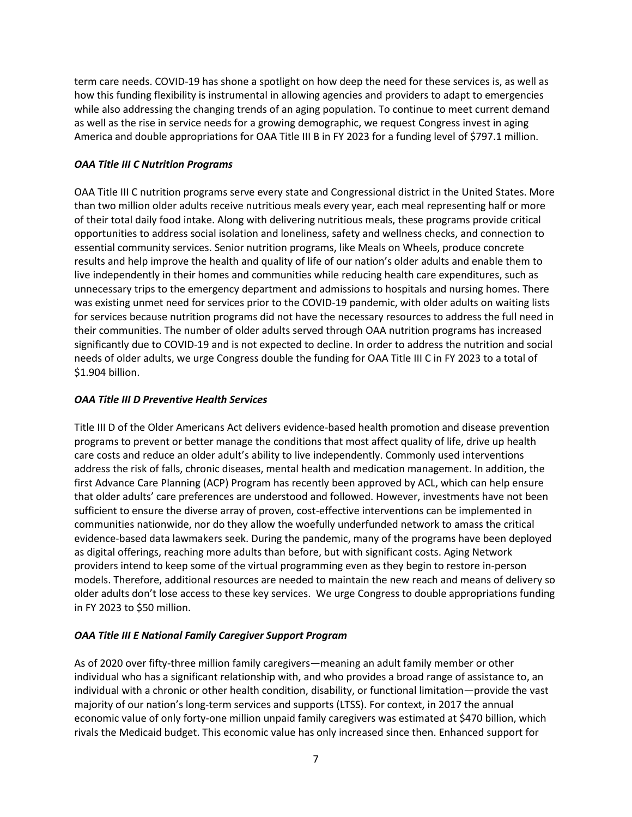term care needs. COVID-19 has shone a spotlight on how deep the need for these services is, as well as how this funding flexibility is instrumental in allowing agencies and providers to adapt to emergencies while also addressing the changing trends of an aging population. To continue to meet current demand as well as the rise in service needs for a growing demographic, we request Congress invest in aging America and double appropriations for OAA Title III B in FY 2023 for a funding level of \$797.1 million.

### *OAA Title III C Nutrition Programs*

OAA Title III C nutrition programs serve every state and Congressional district in the United States. More than two million older adults receive nutritious meals every year, each meal representing half or more of their total daily food intake. Along with delivering nutritious meals, these programs provide critical opportunities to address social isolation and loneliness, safety and wellness checks, and connection to essential community services. Senior nutrition programs, like Meals on Wheels, produce concrete results and help improve the health and quality of life of our nation's older adults and enable them to live independently in their homes and communities while reducing health care expenditures, such as unnecessary trips to the emergency department and admissions to hospitals and nursing homes. There was existing unmet need for services prior to the COVID-19 pandemic, with older adults on waiting lists for services because nutrition programs did not have the necessary resources to address the full need in their communities. The number of older adults served through OAA nutrition programs has increased significantly due to COVID-19 and is not expected to decline. In order to address the nutrition and social needs of older adults, we urge Congress double the funding for OAA Title III C in FY 2023 to a total of \$1.904 billion.

### *OAA Title III D Preventive Health Services*

Title III D of the Older Americans Act delivers evidence-based health promotion and disease prevention programs to prevent or better manage the conditions that most affect quality of life, drive up health care costs and reduce an older adult's ability to live independently. Commonly used interventions address the risk of falls, chronic diseases, mental health and medication management. In addition, the first Advance Care Planning (ACP) Program has recently been approved by ACL, which can help ensure that older adults' care preferences are understood and followed. However, investments have not been sufficient to ensure the diverse array of proven, cost-effective interventions can be implemented in communities nationwide, nor do they allow the woefully underfunded network to amass the critical evidence-based data lawmakers seek. During the pandemic, many of the programs have been deployed as digital offerings, reaching more adults than before, but with significant costs. Aging Network providers intend to keep some of the virtual programming even as they begin to restore in-person models. Therefore, additional resources are needed to maintain the new reach and means of delivery so older adults don't lose access to these key services. We urge Congress to double appropriations funding in FY 2023 to \$50 million.

## *OAA Title III E National Family Caregiver Support Program*

As of 2020 over fifty-three million family caregivers—meaning an adult family member or other individual who has a significant relationship with, and who provides a broad range of assistance to, an individual with a chronic or other health condition, disability, or functional limitation—provide the vast majority of our nation's long-term services and supports (LTSS). For context, in 2017 the annual economic value of only forty-one million unpaid family caregivers was estimated at \$470 billion, which rivals the Medicaid budget. This economic value has only increased since then. Enhanced support for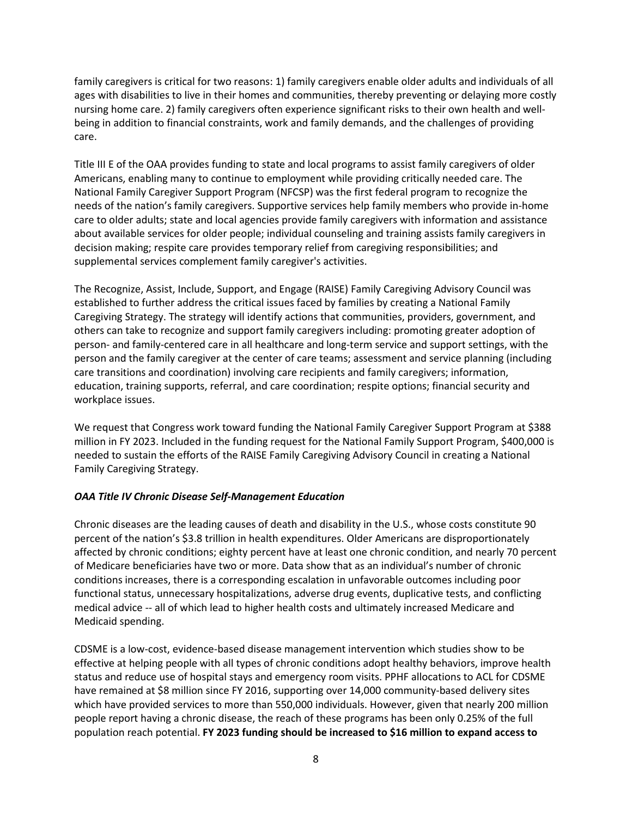family caregivers is critical for two reasons: 1) family caregivers enable older adults and individuals of all ages with disabilities to live in their homes and communities, thereby preventing or delaying more costly nursing home care. 2) family caregivers often experience significant risks to their own health and wellbeing in addition to financial constraints, work and family demands, and the challenges of providing care.

Title III E of the OAA provides funding to state and local programs to assist family caregivers of older Americans, enabling many to continue to employment while providing critically needed care. The National Family Caregiver Support Program (NFCSP) was the first federal program to recognize the needs of the nation's family caregivers. Supportive services help family members who provide in-home care to older adults; state and local agencies provide family caregivers with information and assistance about available services for older people; individual counseling and training assists family caregivers in decision making; respite care provides temporary relief from caregiving responsibilities; and supplemental services complement family caregiver's activities.

The Recognize, Assist, Include, Support, and Engage (RAISE) Family Caregiving Advisory Council was established to further address the critical issues faced by families by creating a National Family Caregiving Strategy. The strategy will identify actions that communities, providers, government, and others can take to recognize and support family caregivers including: promoting greater adoption of person- and family-centered care in all healthcare and long-term service and support settings, with the person and the family caregiver at the center of care teams; assessment and service planning (including care transitions and coordination) involving care recipients and family caregivers; information, education, training supports, referral, and care coordination; respite options; financial security and workplace issues.

We request that Congress work toward funding the National Family Caregiver Support Program at \$388 million in FY 2023. Included in the funding request for the National Family Support Program, \$400,000 is needed to sustain the efforts of the RAISE Family Caregiving Advisory Council in creating a National Family Caregiving Strategy.

### *OAA Title IV Chronic Disease Self-Management Education*

Chronic diseases are the leading causes of death and disability in the U.S., whose costs constitute 90 percent of the nation's \$3.8 trillion in health expenditures. Older Americans are disproportionately affected by chronic conditions; eighty percent have at least one chronic condition, and nearly 70 percent of Medicare beneficiaries have two or more. Data show that as an individual's number of chronic conditions increases, there is a corresponding escalation in unfavorable outcomes including poor functional status, unnecessary hospitalizations, adverse drug events, duplicative tests, and conflicting medical advice -- all of which lead to higher health costs and ultimately increased Medicare and Medicaid spending.

CDSME is a low-cost, evidence-based disease management intervention which studies show to be effective at helping people with all types of chronic conditions adopt healthy behaviors, improve health status and reduce use of hospital stays and emergency room visits. PPHF allocations to ACL for CDSME have remained at \$8 million since FY 2016, supporting over 14,000 community-based delivery sites which have provided services to more than 550,000 individuals. However, given that nearly 200 million people report having a chronic disease, the reach of these programs has been only 0.25% of the full population reach potential. **FY 2023 funding should be increased to \$16 million to expand access to**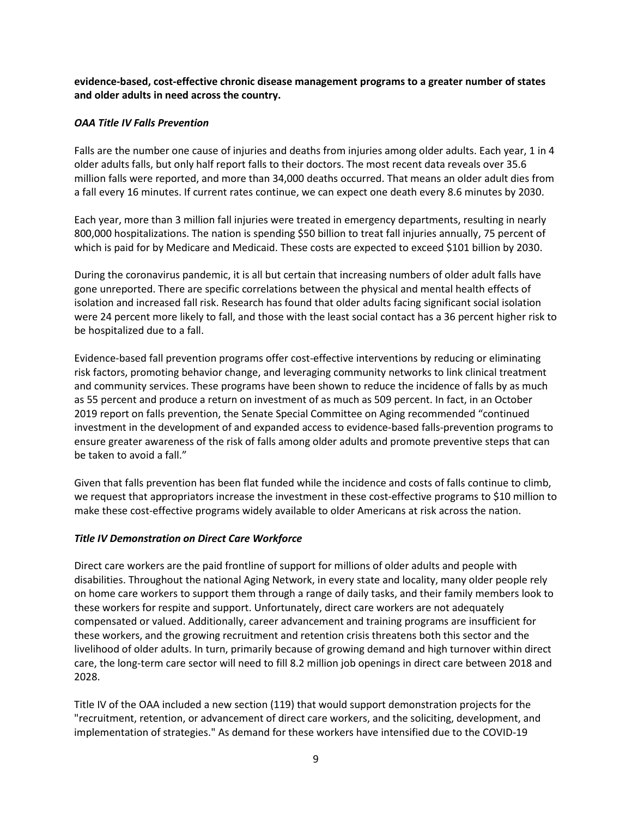**evidence-based, cost-effective chronic disease management programs to a greater number of states and older adults in need across the country.**

### *OAA Title IV Falls Prevention*

Falls are the number one cause of injuries and deaths from injuries among older adults. Each year, 1 in 4 older adults falls, but only half report falls to their doctors. The most recent data reveals over 35.6 million falls were reported, and more than 34,000 deaths occurred. That means an older adult dies from a fall every 16 minutes. If current rates continue, we can expect one death every 8.6 minutes by 2030.

Each year, more than 3 million fall injuries were treated in emergency departments, resulting in nearly 800,000 hospitalizations. The nation is spending \$50 billion to treat fall injuries annually, 75 percent of which is paid for by Medicare and Medicaid. These costs are expected to exceed \$101 billion by 2030.

During the coronavirus pandemic, it is all but certain that increasing numbers of older adult falls have gone unreported. There are specific correlations between the physical and mental health effects of isolation and increased fall risk. Research has found that older adults facing significant social isolation were 24 percent more likely to fall, and those with the least social contact has a 36 percent higher risk to be hospitalized due to a fall.

Evidence-based fall prevention programs offer cost-effective interventions by reducing or eliminating risk factors, promoting behavior change, and leveraging community networks to link clinical treatment and community services. These programs have been shown to reduce the incidence of falls by as much as 55 percent and produce a return on investment of as much as 509 percent. In fact, in an October 2019 report on falls prevention, the Senate Special Committee on Aging recommended "continued investment in the development of and expanded access to evidence-based falls-prevention programs to ensure greater awareness of the risk of falls among older adults and promote preventive steps that can be taken to avoid a fall."

Given that falls prevention has been flat funded while the incidence and costs of falls continue to climb, we request that appropriators increase the investment in these cost-effective programs to \$10 million to make these cost-effective programs widely available to older Americans at risk across the nation.

### *Title IV Demonstration on Direct Care Workforce*

Direct care workers are the paid frontline of support for millions of older adults and people with disabilities. Throughout the national Aging Network, in every state and locality, many older people rely on home care workers to support them through a range of daily tasks, and their family members look to these workers for respite and support. Unfortunately, direct care workers are not adequately compensated or valued. Additionally, career advancement and training programs are insufficient for these workers, and the growing recruitment and retention crisis threatens both this sector and the livelihood of older adults. In turn, primarily because of growing demand and high turnover within direct care, the long-term care sector will need to fill 8.2 million job openings in direct care between 2018 and 2028.

Title IV of the OAA included a new section (119) that would support demonstration projects for the "recruitment, retention, or advancement of direct care workers, and the soliciting, development, and implementation of strategies." As demand for these workers have intensified due to the COVID-19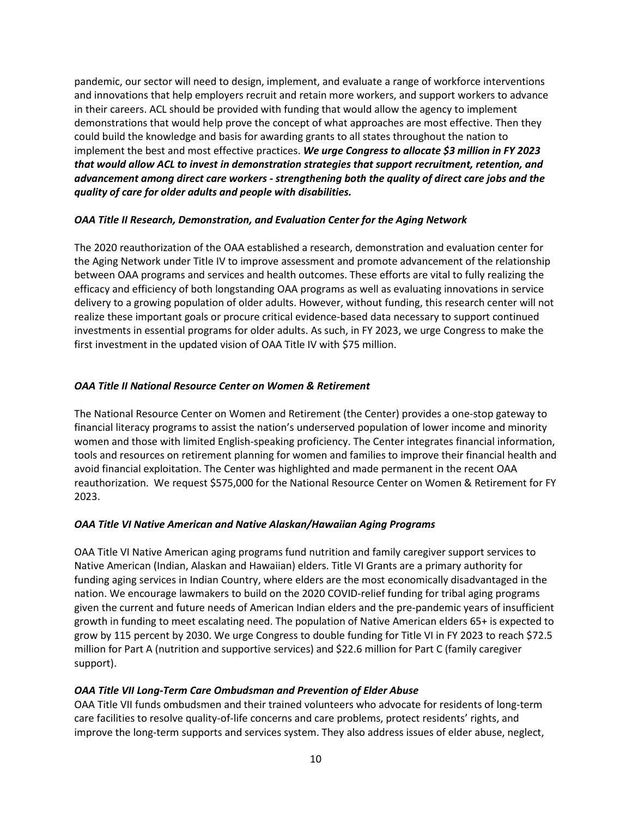pandemic, our sector will need to design, implement, and evaluate a range of workforce interventions and innovations that help employers recruit and retain more workers, and support workers to advance in their careers. ACL should be provided with funding that would allow the agency to implement demonstrations that would help prove the concept of what approaches are most effective. Then they could build the knowledge and basis for awarding grants to all states throughout the nation to implement the best and most effective practices. *We urge Congress to allocate \$3 million in FY 2023 that would allow ACL to invest in demonstration strategies that support recruitment, retention, and advancement among direct care workers - strengthening both the quality of direct care jobs and the quality of care for older adults and people with disabilities.*

#### *OAA Title II Research, Demonstration, and Evaluation Center for the Aging Network*

The 2020 reauthorization of the OAA established a research, demonstration and evaluation center for the Aging Network under Title IV to improve assessment and promote advancement of the relationship between OAA programs and services and health outcomes. These efforts are vital to fully realizing the efficacy and efficiency of both longstanding OAA programs as well as evaluating innovations in service delivery to a growing population of older adults. However, without funding, this research center will not realize these important goals or procure critical evidence-based data necessary to support continued investments in essential programs for older adults. As such, in FY 2023, we urge Congress to make the first investment in the updated vision of OAA Title IV with \$75 million.

### *OAA Title II National Resource Center on Women & Retirement*

The National Resource Center on Women and Retirement (the Center) provides a one-stop gateway to financial literacy programs to assist the nation's underserved population of lower income and minority women and those with limited English-speaking proficiency. The Center integrates financial information, tools and resources on retirement planning for women and families to improve their financial health and avoid financial exploitation. The Center was highlighted and made permanent in the recent OAA reauthorization. We request \$575,000 for the National Resource Center on Women & Retirement for FY 2023.

### *OAA Title VI Native American and Native Alaskan/Hawaiian Aging Programs*

OAA Title VI Native American aging programs fund nutrition and family caregiver support services to Native American (Indian, Alaskan and Hawaiian) elders. Title VI Grants are a primary authority for funding aging services in Indian Country, where elders are the most economically disadvantaged in the nation. We encourage lawmakers to build on the 2020 COVID-relief funding for tribal aging programs given the current and future needs of American Indian elders and the pre-pandemic years of insufficient growth in funding to meet escalating need. The population of Native American elders 65+ is expected to grow by 115 percent by 2030. We urge Congress to double funding for Title VI in FY 2023 to reach \$72.5 million for Part A (nutrition and supportive services) and \$22.6 million for Part C (family caregiver support).

### *OAA Title VII Long-Term Care Ombudsman and Prevention of Elder Abuse*

OAA Title VII funds ombudsmen and their trained volunteers who advocate for residents of long-term care facilities to resolve quality-of-life concerns and care problems, protect residents' rights, and improve the long-term supports and services system. They also address issues of elder abuse, neglect,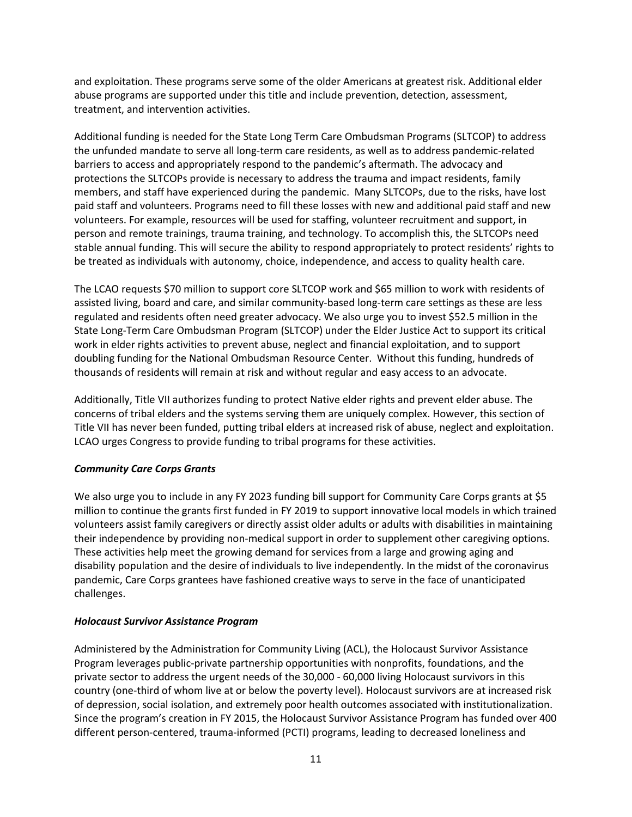and exploitation. These programs serve some of the older Americans at greatest risk. Additional elder abuse programs are supported under this title and include prevention, detection, assessment, treatment, and intervention activities.

Additional funding is needed for the State Long Term Care Ombudsman Programs (SLTCOP) to address the unfunded mandate to serve all long-term care residents, as well as to address pandemic-related barriers to access and appropriately respond to the pandemic's aftermath. The advocacy and protections the SLTCOPs provide is necessary to address the trauma and impact residents, family members, and staff have experienced during the pandemic. Many SLTCOPs, due to the risks, have lost paid staff and volunteers. Programs need to fill these losses with new and additional paid staff and new volunteers. For example, resources will be used for staffing, volunteer recruitment and support, in person and remote trainings, trauma training, and technology. To accomplish this, the SLTCOPs need stable annual funding. This will secure the ability to respond appropriately to protect residents' rights to be treated as individuals with autonomy, choice, independence, and access to quality health care.

The LCAO requests \$70 million to support core SLTCOP work and \$65 million to work with residents of assisted living, board and care, and similar community-based long-term care settings as these are less regulated and residents often need greater advocacy. We also urge you to invest \$52.5 million in the State Long-Term Care Ombudsman Program (SLTCOP) under the Elder Justice Act to support its critical work in elder rights activities to prevent abuse, neglect and financial exploitation, and to support doubling funding for the National Ombudsman Resource Center. Without this funding, hundreds of thousands of residents will remain at risk and without regular and easy access to an advocate.

Additionally, Title VII authorizes funding to protect Native elder rights and prevent elder abuse. The concerns of tribal elders and the systems serving them are uniquely complex. However, this section of Title VII has never been funded, putting tribal elders at increased risk of abuse, neglect and exploitation. LCAO urges Congress to provide funding to tribal programs for these activities.

### *Community Care Corps Grants*

We also urge you to include in any FY 2023 funding bill support for Community Care Corps grants at \$5 million to continue the grants first funded in FY 2019 to support innovative local models in which trained volunteers assist family caregivers or directly assist older adults or adults with disabilities in maintaining their independence by providing non-medical support in order to supplement other caregiving options. These activities help meet the growing demand for services from a large and growing aging and disability population and the desire of individuals to live independently. In the midst of the coronavirus pandemic, Care Corps grantees have fashioned creative ways to serve in the face of unanticipated challenges.

### *Holocaust Survivor Assistance Program*

Administered by the Administration for Community Living (ACL), the Holocaust Survivor Assistance Program leverages public-private partnership opportunities with nonprofits, foundations, and the private sector to address the urgent needs of the 30,000 - 60,000 living Holocaust survivors in this country (one-third of whom live at or below the poverty level). Holocaust survivors are at increased risk of depression, social isolation, and extremely poor health outcomes associated with institutionalization. Since the program's creation in FY 2015, the Holocaust Survivor Assistance Program has funded over 400 different person-centered, trauma-informed (PCTI) programs, leading to decreased loneliness and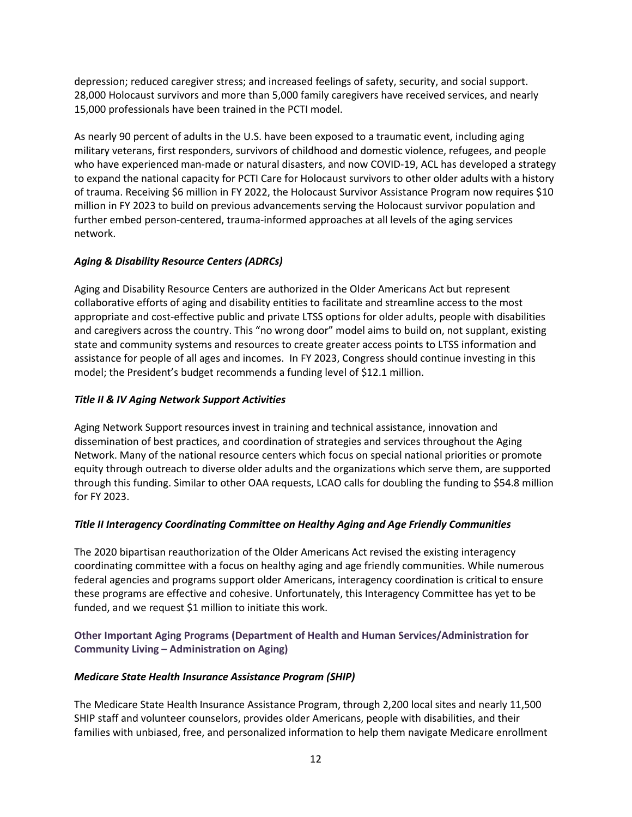depression; reduced caregiver stress; and increased feelings of safety, security, and social support. 28,000 Holocaust survivors and more than 5,000 family caregivers have received services, and nearly 15,000 professionals have been trained in the PCTI model.

As nearly 90 percent of adults in the U.S. have been exposed to a traumatic event, including aging military veterans, first responders, survivors of childhood and domestic violence, refugees, and people who have experienced man-made or natural disasters, and now COVID-19, ACL has developed a strategy to expand the national capacity for PCTI Care for Holocaust survivors to other older adults with a history of trauma. Receiving \$6 million in FY 2022, the Holocaust Survivor Assistance Program now requires \$10 million in FY 2023 to build on previous advancements serving the Holocaust survivor population and further embed person-centered, trauma-informed approaches at all levels of the aging services network.

## *Aging & Disability Resource Centers (ADRCs)*

Aging and Disability Resource Centers are authorized in the Older Americans Act but represent collaborative efforts of aging and disability entities to facilitate and streamline access to the most appropriate and cost-effective public and private LTSS options for older adults, people with disabilities and caregivers across the country. This "no wrong door" model aims to build on, not supplant, existing state and community systems and resources to create greater access points to LTSS information and assistance for people of all ages and incomes. In FY 2023, Congress should continue investing in this model; the President's budget recommends a funding level of \$12.1 million.

## *Title II & IV Aging Network Support Activities*

Aging Network Support resources invest in training and technical assistance, innovation and dissemination of best practices, and coordination of strategies and services throughout the Aging Network. Many of the national resource centers which focus on special national priorities or promote equity through outreach to diverse older adults and the organizations which serve them, are supported through this funding. Similar to other OAA requests, LCAO calls for doubling the funding to \$54.8 million for FY 2023.

## *Title II Interagency Coordinating Committee on Healthy Aging and Age Friendly Communities*

The 2020 bipartisan reauthorization of the Older Americans Act revised the existing interagency coordinating committee with a focus on healthy aging and age friendly communities. While numerous federal agencies and programs support older Americans, interagency coordination is critical to ensure these programs are effective and cohesive. Unfortunately, this Interagency Committee has yet to be funded, and we request \$1 million to initiate this work.

## **Other Important Aging Programs (Department of Health and Human Services/Administration for Community Living – Administration on Aging)**

## *Medicare State Health Insurance Assistance Program (SHIP)*

The Medicare State Health Insurance Assistance Program, through 2,200 local sites and nearly 11,500 SHIP staff and volunteer counselors, provides older Americans, people with disabilities, and their families with unbiased, free, and personalized information to help them navigate Medicare enrollment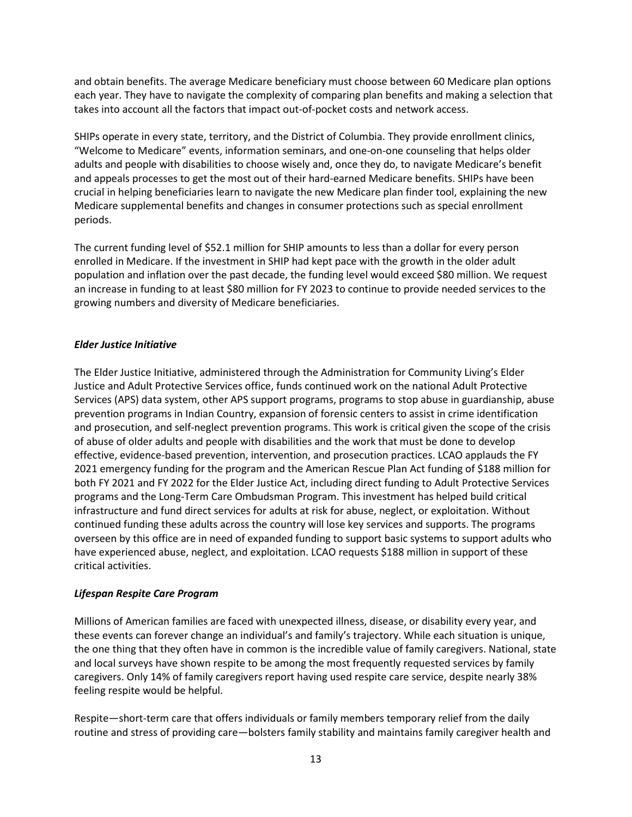and obtain benefits. The average Medicare beneficiary must choose between 60 Medicare plan options each year. They have to navigate the complexity of comparing plan benefits and making a selection that takes into account all the factors that impact out-of-pocket costs and network access.

SHIPs operate in every state, territory, and the District of Columbia. They provide enrollment clinics, "Welcome to Medicare" events, information seminars, and one-on-one counseling that helps older adults and people with disabilities to choose wisely and, once they do, to navigate Medicare's benefit and appeals processes to get the most out of their hard-earned Medicare benefits. SHIPs have been crucial in helping beneficiaries learn to navigate the new Medicare plan finder tool, explaining the new Medicare supplemental benefits and changes in consumer protections such as special enrollment periods.

The current funding level of \$52.1 million for SHIP amounts to less than a dollar for every person enrolled in Medicare. If the investment in SHIP had kept pace with the growth in the older adult population and inflation over the past decade, the funding level would exceed \$80 million. We request an increase in funding to at least \$80 million for FY 2023 to continue to provide needed services to the growing numbers and diversity of Medicare beneficiaries.

### *Elder Justice Initiative*

The Elder Justice Initiative, administered through the Administration for Community Living's Elder Justice and Adult Protective Services office, funds continued work on the national Adult Protective Services (APS) data system, other APS support programs, programs to stop abuse in guardianship, abuse prevention programs in Indian Country, expansion of forensic centers to assist in crime identification and prosecution, and self-neglect prevention programs. This work is critical given the scope of the crisis of abuse of older adults and people with disabilities and the work that must be done to develop effective, evidence-based prevention, intervention, and prosecution practices. LCAO applauds the FY 2021 emergency funding for the program and the American Rescue Plan Act funding of \$188 million for both FY 2021 and FY 2022 for the Elder Justice Act, including direct funding to Adult Protective Services programs and the Long-Term Care Ombudsman Program. This investment has helped build critical infrastructure and fund direct services for adults at risk for abuse, neglect, or exploitation. Without continued funding these adults across the country will lose key services and supports. The programs overseen by this office are in need of expanded funding to support basic systems to support adults who have experienced abuse, neglect, and exploitation. LCAO requests \$188 million in support of these critical activities.

### *Lifespan Respite Care Program*

Millions of American families are faced with unexpected illness, disease, or disability every year, and these events can forever change an individual's and family's trajectory. While each situation is unique, the one thing that they often have in common is the incredible value of family caregivers. National, state and local surveys have shown respite to be among the most frequently requested services by family caregivers. Only 14% of family caregivers report having used respite care service, despite nearly 38% feeling respite would be helpful.

Respite—short-term care that offers individuals or family members temporary relief from the daily routine and stress of providing care—bolsters family stability and maintains family caregiver health and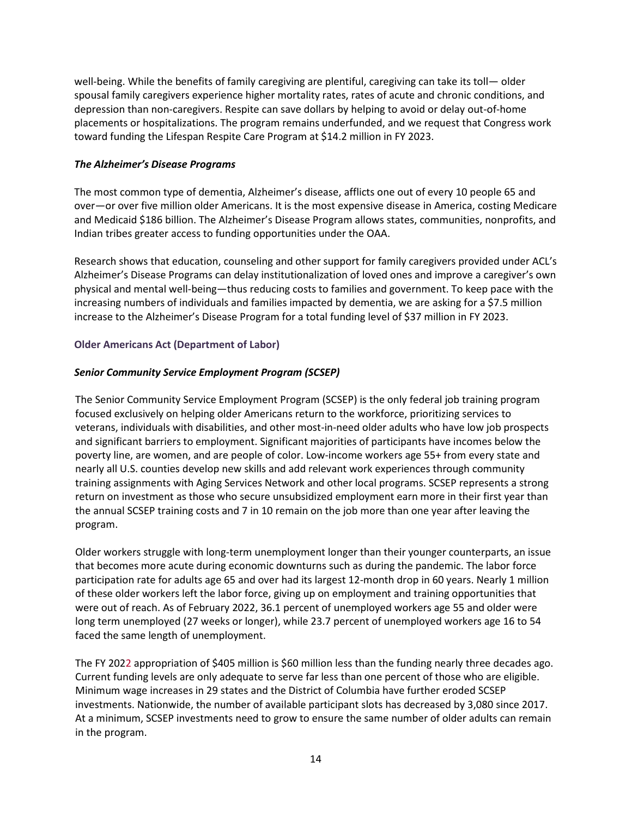well-being. While the benefits of family caregiving are plentiful, caregiving can take its toll— older spousal family caregivers experience higher mortality rates, rates of acute and chronic conditions, and depression than non-caregivers. Respite can save dollars by helping to avoid or delay out-of-home placements or hospitalizations. The program remains underfunded, and we request that Congress work toward funding the Lifespan Respite Care Program at \$14.2 million in FY 2023.

### *The Alzheimer's Disease Programs*

The most common type of dementia, Alzheimer's disease, afflicts one out of every 10 people 65 and over—or over five million older Americans. It is the most expensive disease in America, costing Medicare and Medicaid \$186 billion. The Alzheimer's Disease Program allows states, communities, nonprofits, and Indian tribes greater access to funding opportunities under the OAA.

Research shows that education, counseling and other support for family caregivers provided under ACL's Alzheimer's Disease Programs can delay institutionalization of loved ones and improve a caregiver's own physical and mental well-being—thus reducing costs to families and government. To keep pace with the increasing numbers of individuals and families impacted by dementia, we are asking for a \$7.5 million increase to the Alzheimer's Disease Program for a total funding level of \$37 million in FY 2023.

### **Older Americans Act (Department of Labor)**

### *Senior Community Service Employment Program (SCSEP)*

The Senior Community Service Employment Program (SCSEP) is the only federal job training program focused exclusively on helping older Americans return to the workforce, prioritizing services to veterans, individuals with disabilities, and other most-in-need older adults who have low job prospects and significant barriers to employment. Significant majorities of participants have incomes below the poverty line, are women, and are people of color. Low-income workers age 55+ from every state and nearly all U.S. counties develop new skills and add relevant work experiences through community training assignments with Aging Services Network and other local programs. SCSEP represents a strong return on investment as those who secure unsubsidized employment earn more in their first year than the annual SCSEP training costs and 7 in 10 remain on the job more than one year after leaving the program.

Older workers struggle with long-term unemployment longer than their younger counterparts, an issue that becomes more acute during economic downturns such as during the pandemic. The labor force participation rate for adults age 65 and over had its largest 12-month drop in 60 years. Nearly 1 million of these older workers left the labor force, giving up on employment and training opportunities that were out of reach. As of February 2022, 36.1 percent of unemployed workers age 55 and older were long term unemployed (27 weeks or longer), while 23.7 percent of unemployed workers age 16 to 54 faced the same length of unemployment.

The FY 2022 appropriation of \$405 million is \$60 million less than the funding nearly three decades ago. Current funding levels are only adequate to serve far less than one percent of those who are eligible. Minimum wage increases in 29 states and the District of Columbia have further eroded SCSEP investments. Nationwide, the number of available participant slots has decreased by 3,080 since 2017. At a minimum, SCSEP investments need to grow to ensure the same number of older adults can remain in the program.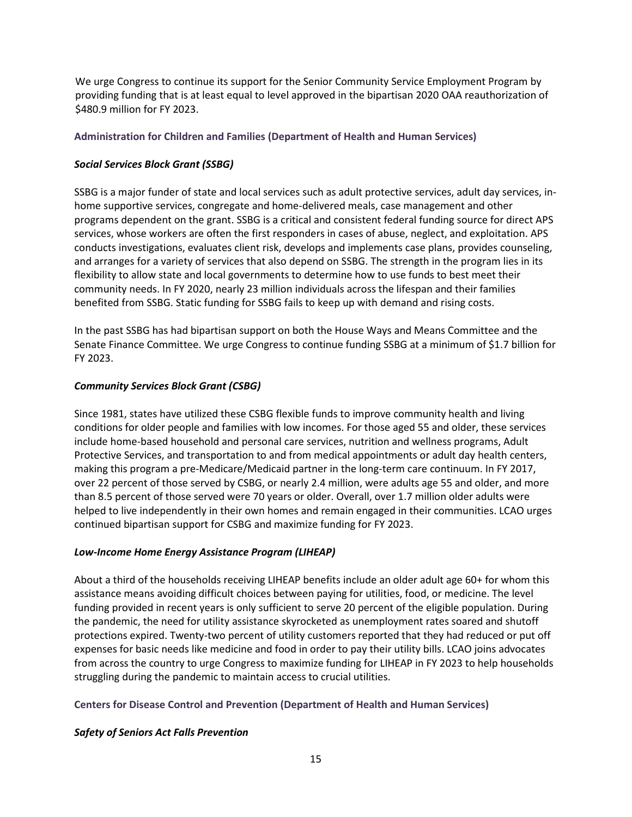We urge Congress to continue its support for the Senior Community Service Employment Program by providing funding that is at least equal to level approved in the bipartisan 2020 OAA reauthorization of \$480.9 million for FY 2023.

### **Administration for Children and Families (Department of Health and Human Services)**

### *Social Services Block Grant (SSBG)*

SSBG is a major funder of state and local services such as adult protective services, adult day services, inhome supportive services, congregate and home-delivered meals, case management and other programs dependent on the grant. SSBG is a critical and consistent federal funding source for direct APS services, whose workers are often the first responders in cases of abuse, neglect, and exploitation. APS conducts investigations, evaluates client risk, develops and implements case plans, provides counseling, and arranges for a variety of services that also depend on SSBG. The strength in the program lies in its flexibility to allow state and local governments to determine how to use funds to best meet their community needs. In FY 2020, nearly 23 million individuals across the lifespan and their families benefited from SSBG. Static funding for SSBG fails to keep up with demand and rising costs.

In the past SSBG has had bipartisan support on both the House Ways and Means Committee and the Senate Finance Committee. We urge Congress to continue funding SSBG at a minimum of \$1.7 billion for FY 2023.

### *Community Services Block Grant (CSBG)*

Since 1981, states have utilized these CSBG flexible funds to improve community health and living conditions for older people and families with low incomes. For those aged 55 and older, these services include home-based household and personal care services, nutrition and wellness programs, Adult Protective Services, and transportation to and from medical appointments or adult day health centers, making this program a pre-Medicare/Medicaid partner in the long-term care continuum. In FY 2017, over 22 percent of those served by CSBG, or nearly 2.4 million, were adults age 55 and older, and more than 8.5 percent of those served were 70 years or older. Overall, over 1.7 million older adults were helped to live independently in their own homes and remain engaged in their communities. LCAO urges continued bipartisan support for CSBG and maximize funding for FY 2023.

### *Low-Income Home Energy Assistance Program (LIHEAP)*

About a third of the households receiving LIHEAP benefits include an older adult age 60+ for whom this assistance means avoiding difficult choices between paying for utilities, food, or medicine. The level funding provided in recent years is only sufficient to serve 20 percent of the eligible population. During the pandemic, the need for utility assistance skyrocketed as unemployment rates soared and shutoff protections expired. Twenty-two percent of utility customers reported that they had reduced or put off expenses for basic needs like medicine and food in order to pay their utility bills. LCAO joins advocates from across the country to urge Congress to maximize funding for LIHEAP in FY 2023 to help households struggling during the pandemic to maintain access to crucial utilities.

### **Centers for Disease Control and Prevention (Department of Health and Human Services)**

## *Safety of Seniors Act Falls Prevention*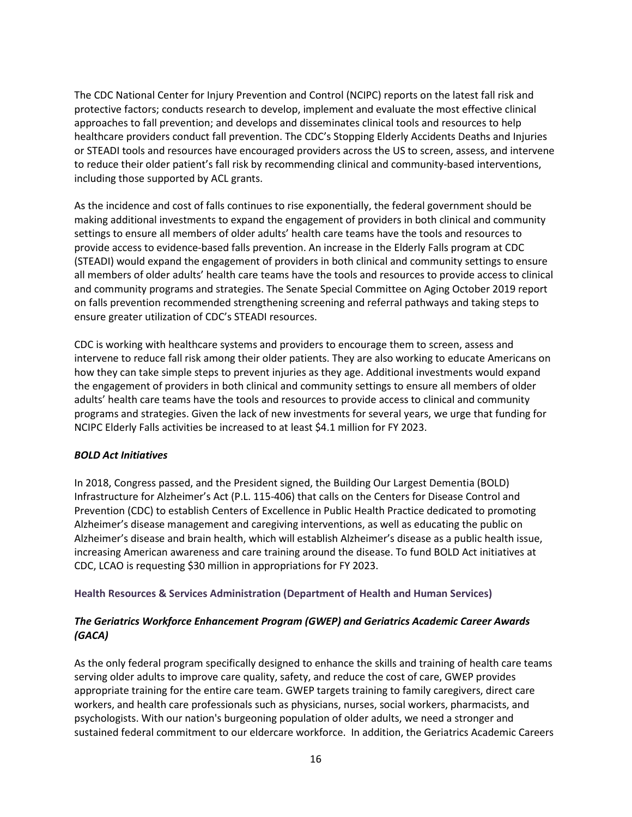The CDC National Center for Injury Prevention and Control (NCIPC) reports on the latest fall risk and protective factors; conducts research to develop, implement and evaluate the most effective clinical approaches to fall prevention; and develops and disseminates clinical tools and resources to help healthcare providers conduct fall prevention. The CDC's Stopping Elderly Accidents Deaths and Injuries or STEADI tools and resources have encouraged providers across the US to screen, assess, and intervene to reduce their older patient's fall risk by recommending clinical and community-based interventions, including those supported by ACL grants.

As the incidence and cost of falls continues to rise exponentially, the federal government should be making additional investments to expand the engagement of providers in both clinical and community settings to ensure all members of older adults' health care teams have the tools and resources to provide access to evidence-based falls prevention. An increase in the Elderly Falls program at CDC (STEADI) would expand the engagement of providers in both clinical and community settings to ensure all members of older adults' health care teams have the tools and resources to provide access to clinical and community programs and strategies. The Senate Special Committee on Aging October 2019 report on falls prevention recommended strengthening screening and referral pathways and taking steps to ensure greater utilization of CDC's STEADI resources.

CDC is working with healthcare systems and providers to encourage them to screen, assess and intervene to reduce fall risk among their older patients. They are also working to educate Americans on how they can take simple steps to prevent injuries as they age. Additional investments would expand the engagement of providers in both clinical and community settings to ensure all members of older adults' health care teams have the tools and resources to provide access to clinical and community programs and strategies. Given the lack of new investments for several years, we urge that funding for NCIPC Elderly Falls activities be increased to at least \$4.1 million for FY 2023.

### *BOLD Act Initiatives*

In 2018, Congress passed, and the President signed, the Building Our Largest Dementia (BOLD) Infrastructure for Alzheimer's Act (P.L. 115-406) that calls on the Centers for Disease Control and Prevention (CDC) to establish Centers of Excellence in Public Health Practice dedicated to promoting Alzheimer's disease management and caregiving interventions, as well as educating the public on Alzheimer's disease and brain health, which will establish Alzheimer's disease as a public health issue, increasing American awareness and care training around the disease. To fund BOLD Act initiatives at CDC, LCAO is requesting \$30 million in appropriations for FY 2023.

**Health Resources & Services Administration (Department of Health and Human Services)** 

## *The Geriatrics Workforce Enhancement Program (GWEP) and Geriatrics Academic Career Awards (GACA)*

As the only federal program specifically designed to enhance the skills and training of health care teams serving older adults to improve care quality, safety, and reduce the cost of care, GWEP provides appropriate training for the entire care team. GWEP targets training to family caregivers, direct care workers, and health care professionals such as physicians, nurses, social workers, pharmacists, and psychologists. With our nation's burgeoning population of older adults, we need a stronger and sustained federal commitment to our eldercare workforce. In addition, the Geriatrics Academic Careers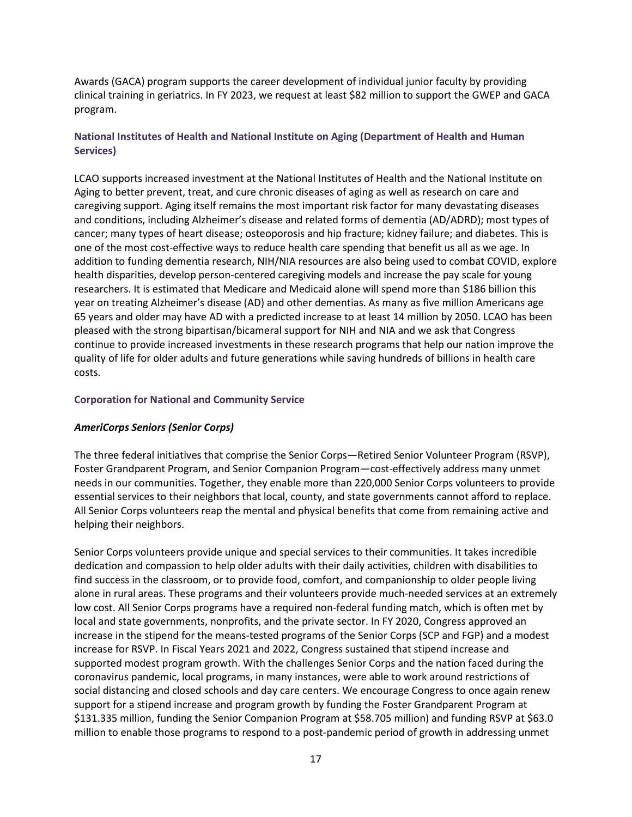Awards (GACA) program supports the career development of individual junior faculty by providing clinical training in geriatrics. In FY 2023, we request at least \$82 million to support the GWEP and GACA program.

## **National Institutes of Health and National Institute on Aging (Department of Health and Human Services)**

LCAO supports increased investment at the National Institutes of Health and the National Institute on Aging to better prevent, treat, and cure chronic diseases of aging as well as research on care and caregiving support. Aging itself remains the most important risk factor for many devastating diseases and conditions, including Alzheimer's disease and related forms of dementia (AD/ADRD); most types of cancer; many types of heart disease; osteoporosis and hip fracture; kidney failure; and diabetes. This is one of the most cost-effective ways to reduce health care spending that benefit us all as we age. In addition to funding dementia research, NIH/NIA resources are also being used to combat COVID, explore health disparities, develop person-centered caregiving models and increase the pay scale for young researchers. It is estimated that Medicare and Medicaid alone will spend more than \$186 billion this year on treating Alzheimer's disease (AD) and other dementias. As many as five million Americans age 65 years and older may have AD with a predicted increase to at least 14 million by 2050. LCAO has been pleased with the strong bipartisan/bicameral support for NIH and NIA and we ask that Congress continue to provide increased investments in these research programs that help our nation improve the quality of life for older adults and future generations while saving hundreds of billions in health care costs.

### **Corporation for National and Community Service**

### *AmeriCorps Seniors (Senior Corps)*

The three federal initiatives that comprise the Senior Corps—Retired Senior Volunteer Program (RSVP), Foster Grandparent Program, and Senior Companion Program—cost-effectively address many unmet needs in our communities. Together, they enable more than 220,000 Senior Corps volunteers to provide essential services to their neighbors that local, county, and state governments cannot afford to replace. All Senior Corps volunteers reap the mental and physical benefits that come from remaining active and helping their neighbors.

Senior Corps volunteers provide unique and special services to their communities. It takes incredible dedication and compassion to help older adults with their daily activities, children with disabilities to find success in the classroom, or to provide food, comfort, and companionship to older people living alone in rural areas. These programs and their volunteers provide much-needed services at an extremely low cost. All Senior Corps programs have a required non-federal funding match, which is often met by local and state governments, nonprofits, and the private sector. In FY 2020, Congress approved an increase in the stipend for the means-tested programs of the Senior Corps (SCP and FGP) and a modest increase for RSVP. In Fiscal Years 2021 and 2022, Congress sustained that stipend increase and supported modest program growth. With the challenges Senior Corps and the nation faced during the coronavirus pandemic, local programs, in many instances, were able to work around restrictions of social distancing and closed schools and day care centers. We encourage Congress to once again renew support for a stipend increase and program growth by funding the Foster Grandparent Program at \$131.335 million, funding the Senior Companion Program at \$58.705 million) and funding RSVP at \$63.0 million to enable those programs to respond to a post-pandemic period of growth in addressing unmet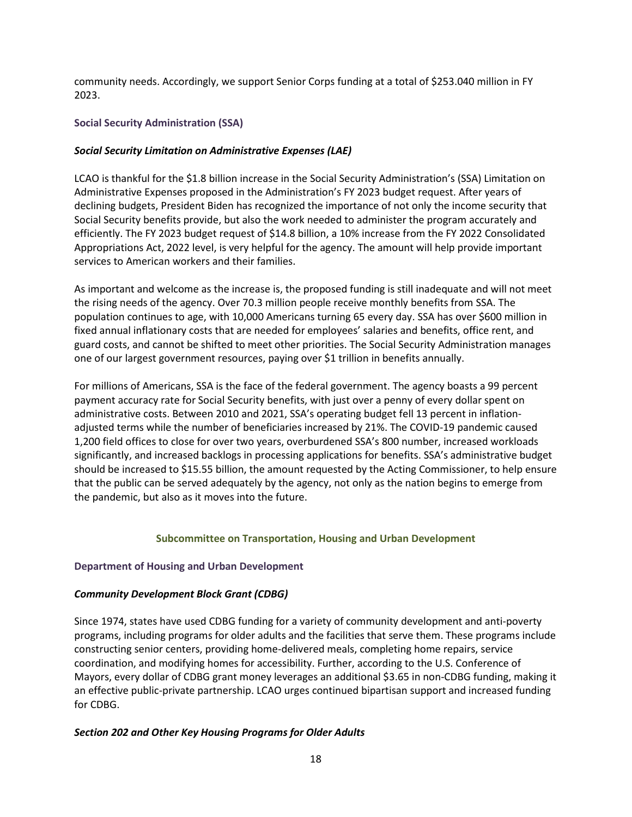community needs. Accordingly, we support Senior Corps funding at a total of \$253.040 million in FY 2023.

### **Social Security Administration (SSA)**

### *Social Security Limitation on Administrative Expenses (LAE)*

LCAO is thankful for the \$1.8 billion increase in the Social Security Administration's (SSA) Limitation on Administrative Expenses proposed in the Administration's FY 2023 budget request. After years of declining budgets, President Biden has recognized the importance of not only the income security that Social Security benefits provide, but also the work needed to administer the program accurately and efficiently. The FY 2023 budget request of \$14.8 billion, a 10% increase from the FY 2022 Consolidated Appropriations Act, 2022 level, is very helpful for the agency. The amount will help provide important services to American workers and their families.

As important and welcome as the increase is, the proposed funding is still inadequate and will not meet the rising needs of the agency. Over 70.3 million people receive monthly benefits from SSA. The population continues to age, with 10,000 Americans turning 65 every day. SSA has over \$600 million in fixed annual inflationary costs that are needed for employees' salaries and benefits, office rent, and guard costs, and cannot be shifted to meet other priorities. The Social Security Administration manages one of our largest government resources, paying over \$1 trillion in benefits annually.

For millions of Americans, SSA is the face of the federal government. The agency boasts a 99 percent payment accuracy rate for Social Security benefits, with just over a penny of every dollar spent on administrative costs. Between 2010 and 2021, SSA's operating budget fell 13 percent in inflationadjusted terms while the number of beneficiaries increased by 21%. The COVID-19 pandemic caused 1,200 field offices to close for over two years, overburdened SSA's 800 number, increased workloads significantly, and increased backlogs in processing applications for benefits. SSA's administrative budget should be increased to \$15.55 billion, the amount requested by the Acting Commissioner, to help ensure that the public can be served adequately by the agency, not only as the nation begins to emerge from the pandemic, but also as it moves into the future.

### **Subcommittee on Transportation, Housing and Urban Development**

### **Department of Housing and Urban Development**

### *Community Development Block Grant (CDBG)*

Since 1974, states have used CDBG funding for a variety of community development and anti-poverty programs, including programs for older adults and the facilities that serve them. These programs include constructing senior centers, providing home-delivered meals, completing home repairs, service coordination, and modifying homes for accessibility. Further, according to the U.S. Conference of Mayors, every dollar of CDBG grant money leverages an additional \$3.65 in non-CDBG funding, making it an effective public-private partnership. LCAO urges continued bipartisan support and increased funding for CDBG.

### *Section 202 and Other Key Housing Programs for Older Adults*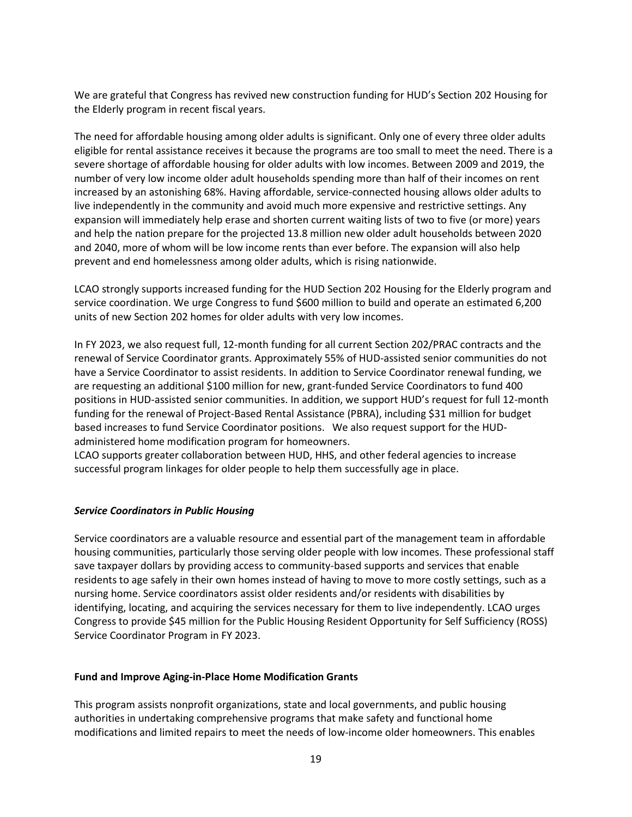We are grateful that Congress has revived new construction funding for HUD's Section 202 Housing for the Elderly program in recent fiscal years.

The need for affordable housing among older adults is significant. Only one of every three older adults eligible for rental assistance receives it because the programs are too small to meet the need. There is a severe shortage of affordable housing for older adults with low incomes. Between 2009 and 2019, the number of very low income older adult households spending more than half of their incomes on rent increased by an astonishing 68%. Having affordable, service-connected housing allows older adults to live independently in the community and avoid much more expensive and restrictive settings. Any expansion will immediately help erase and shorten current waiting lists of two to five (or more) years and help the nation prepare for the projected 13.8 million new older adult households between 2020 and 2040, more of whom will be low income rents than ever before. The expansion will also help prevent and end homelessness among older adults, which is rising nationwide.

LCAO strongly supports increased funding for the HUD Section 202 Housing for the Elderly program and service coordination. We urge Congress to fund \$600 million to build and operate an estimated 6,200 units of new Section 202 homes for older adults with very low incomes.

In FY 2023, we also request full, 12-month funding for all current Section 202/PRAC contracts and the renewal of Service Coordinator grants. Approximately 55% of HUD-assisted senior communities do not have a Service Coordinator to assist residents. In addition to Service Coordinator renewal funding, we are requesting an additional \$100 million for new, grant-funded Service Coordinators to fund 400 positions in HUD-assisted senior communities. In addition, we support HUD's request for full 12-month funding for the renewal of Project-Based Rental Assistance (PBRA), including \$31 million for budget based increases to fund Service Coordinator positions. We also request support for the HUDadministered home modification program for homeowners.

LCAO supports greater collaboration between HUD, HHS, and other federal agencies to increase successful program linkages for older people to help them successfully age in place.

### *Service Coordinators in Public Housing*

Service coordinators are a valuable resource and essential part of the management team in affordable housing communities, particularly those serving older people with low incomes. These professional staff save taxpayer dollars by providing access to community-based supports and services that enable residents to age safely in their own homes instead of having to move to more costly settings, such as a nursing home. Service coordinators assist older residents and/or residents with disabilities by identifying, locating, and acquiring the services necessary for them to live independently. LCAO urges Congress to provide \$45 million for the Public Housing Resident Opportunity for Self Sufficiency (ROSS) Service Coordinator Program in FY 2023.

#### **Fund and Improve Aging-in-Place Home Modification Grants**

This program assists nonprofit organizations, state and local governments, and public housing authorities in undertaking comprehensive programs that make safety and functional home modifications and limited repairs to meet the needs of low-income older homeowners. This enables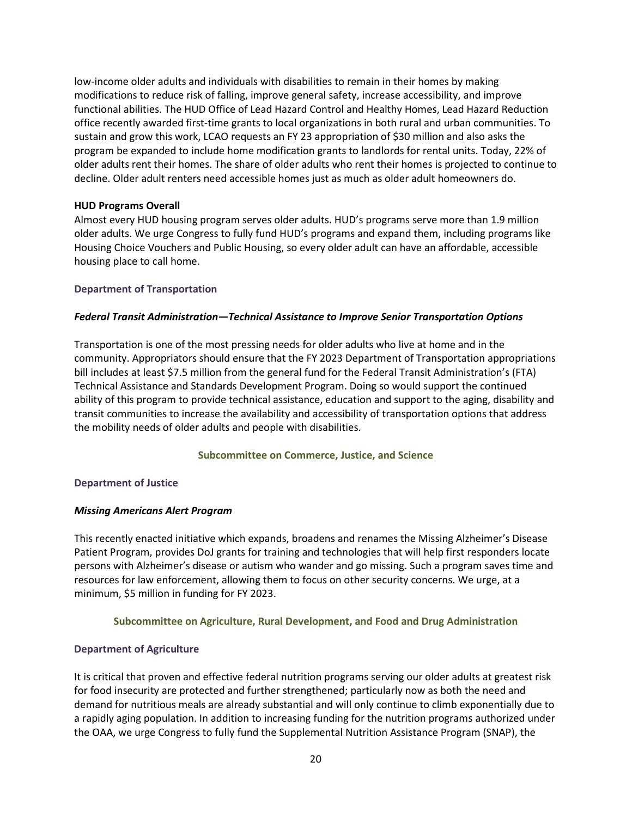low-income older adults and individuals with disabilities to remain in their homes by making modifications to reduce risk of falling, improve general safety, increase accessibility, and improve functional abilities. The HUD Office of Lead Hazard Control and Healthy Homes, Lead Hazard Reduction office recently awarded first-time grants to local organizations in both rural and urban communities. To sustain and grow this work, LCAO requests an FY 23 appropriation of \$30 million and also asks the program be expanded to include home modification grants to landlords for rental units. Today, 22% of older adults rent their homes. The share of older adults who rent their homes is projected to continue to decline. Older adult renters need accessible homes just as much as older adult homeowners do.

### **HUD Programs Overall**

Almost every HUD housing program serves older adults. HUD's programs serve more than 1.9 million older adults. We urge Congress to fully fund HUD's programs and expand them, including programs like Housing Choice Vouchers and Public Housing, so every older adult can have an affordable, accessible housing place to call home.

#### **Department of Transportation**

#### *Federal Transit Administration—Technical Assistance to Improve Senior Transportation Options*

Transportation is one of the most pressing needs for older adults who live at home and in the community. Appropriators should ensure that the FY 2023 Department of Transportation appropriations bill includes at least \$7.5 million from the general fund for the Federal Transit Administration's (FTA) Technical Assistance and Standards Development Program. Doing so would support the continued ability of this program to provide technical assistance, education and support to the aging, disability and transit communities to increase the availability and accessibility of transportation options that address the mobility needs of older adults and people with disabilities.

#### **Subcommittee on Commerce, Justice, and Science**

#### **Department of Justice**

#### *Missing Americans Alert Program*

This recently enacted initiative which expands, broadens and renames the Missing Alzheimer's Disease Patient Program, provides DoJ grants for training and technologies that will help first responders locate persons with Alzheimer's disease or autism who wander and go missing. Such a program saves time and resources for law enforcement, allowing them to focus on other security concerns. We urge, at a minimum, \$5 million in funding for FY 2023.

### **Subcommittee on Agriculture, Rural Development, and Food and Drug Administration**

### **Department of Agriculture**

It is critical that proven and effective federal nutrition programs serving our older adults at greatest risk for food insecurity are protected and further strengthened; particularly now as both the need and demand for nutritious meals are already substantial and will only continue to climb exponentially due to a rapidly aging population. In addition to increasing funding for the nutrition programs authorized under the OAA, we urge Congress to fully fund the Supplemental Nutrition Assistance Program (SNAP), the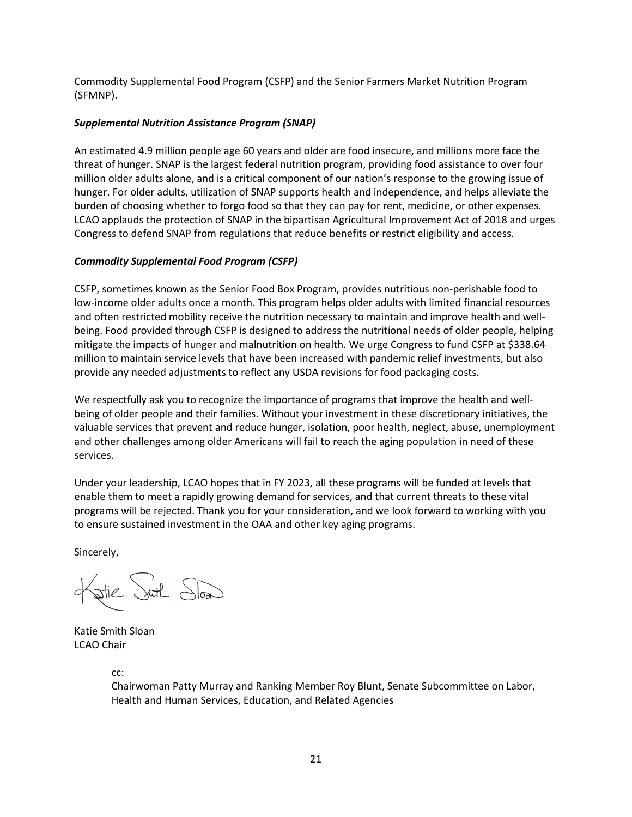Commodity Supplemental Food Program (CSFP) and the Senior Farmers Market Nutrition Program (SFMNP).

### *Supplemental Nutrition Assistance Program (SNAP)*

An estimated 4.9 million people age 60 years and older are food insecure, and millions more face the threat of hunger. SNAP is the largest federal nutrition program, providing food assistance to over four million older adults alone, and is a critical component of our nation's response to the growing issue of hunger. For older adults, utilization of SNAP supports health and independence, and helps alleviate the burden of choosing whether to forgo food so that they can pay for rent, medicine, or other expenses. LCAO applauds the protection of SNAP in the bipartisan Agricultural Improvement Act of 2018 and urges Congress to defend SNAP from regulations that reduce benefits or restrict eligibility and access.

### *Commodity Supplemental Food Program (CSFP)*

CSFP, sometimes known as the Senior Food Box Program, provides nutritious non-perishable food to low-income older adults once a month. This program helps older adults with limited financial resources and often restricted mobility receive the nutrition necessary to maintain and improve health and wellbeing. Food provided through CSFP is designed to address the nutritional needs of older people, helping mitigate the impacts of hunger and malnutrition on health. We urge Congress to fund CSFP at \$338.64 million to maintain service levels that have been increased with pandemic relief investments, but also provide any needed adjustments to reflect any USDA revisions for food packaging costs.

We respectfully ask you to recognize the importance of programs that improve the health and wellbeing of older people and their families. Without your investment in these discretionary initiatives, the valuable services that prevent and reduce hunger, isolation, poor health, neglect, abuse, unemployment and other challenges among older Americans will fail to reach the aging population in need of these services.

Under your leadership, LCAO hopes that in FY 2023, all these programs will be funded at levels that enable them to meet a rapidly growing demand for services, and that current threats to these vital programs will be rejected. Thank you for your consideration, and we look forward to working with you to ensure sustained investment in the OAA and other key aging programs.

Sincerely,

stie Suth Sload

Katie Smith Sloan LCAO Chair

cc:

Chairwoman Patty Murray and Ranking Member Roy Blunt, Senate Subcommittee on Labor, Health and Human Services, Education, and Related Agencies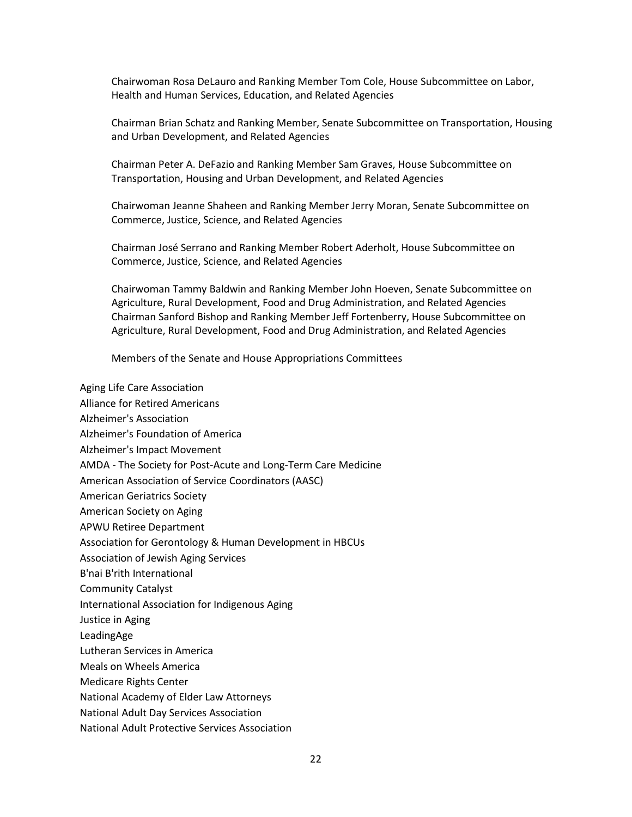Chairwoman Rosa DeLauro and Ranking Member Tom Cole, House Subcommittee on Labor, Health and Human Services, Education, and Related Agencies

Chairman Brian Schatz and Ranking Member, Senate Subcommittee on Transportation, Housing and Urban Development, and Related Agencies

Chairman Peter A. DeFazio and Ranking Member Sam Graves, House Subcommittee on Transportation, Housing and Urban Development, and Related Agencies

Chairwoman Jeanne Shaheen and Ranking Member Jerry Moran, Senate Subcommittee on Commerce, Justice, Science, and Related Agencies

Chairman José Serrano and Ranking Member Robert Aderholt, House Subcommittee on Commerce, Justice, Science, and Related Agencies

Chairwoman Tammy Baldwin and Ranking Member John Hoeven, Senate Subcommittee on Agriculture, Rural Development, Food and Drug Administration, and Related Agencies Chairman Sanford Bishop and Ranking Member Jeff Fortenberry, House Subcommittee on Agriculture, Rural Development, Food and Drug Administration, and Related Agencies

Members of the Senate and House Appropriations Committees

- Aging Life Care Association
- Alliance for Retired Americans
- Alzheimer's Association
- Alzheimer's Foundation of America
- Alzheimer's Impact Movement
- AMDA The Society for Post-Acute and Long-Term Care Medicine
- American Association of Service Coordinators (AASC)
- American Geriatrics Society
- American Society on Aging
- APWU Retiree Department
- Association for Gerontology & Human Development in HBCUs
- Association of Jewish Aging Services
- B'nai B'rith International
- Community Catalyst
- International Association for Indigenous Aging
- Justice in Aging
- LeadingAge
- Lutheran Services in America
- Meals on Wheels America
- Medicare Rights Center
- National Academy of Elder Law Attorneys
- National Adult Day Services Association
- National Adult Protective Services Association